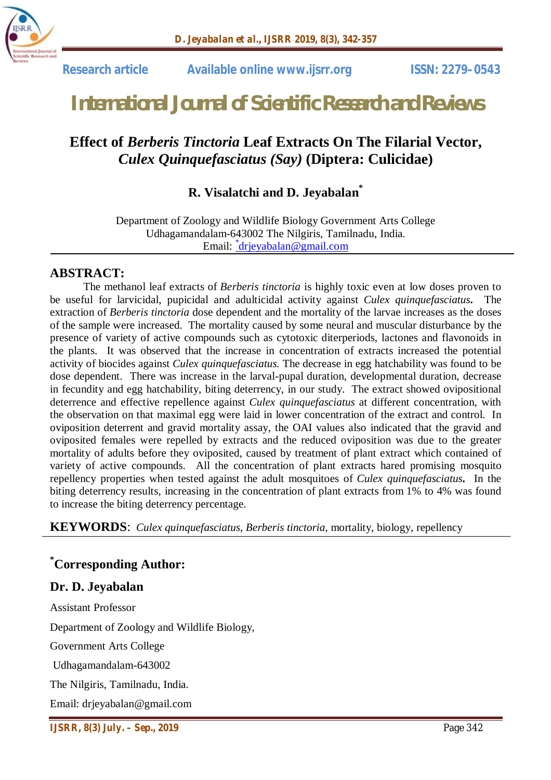

 **Research article Available online www.ijsrr.org ISSN: 2279–0543**

# *International Journal of Scientific Research and Reviews*

## **Effect of** *Berberis Tinctoria* **Leaf Extracts On The Filarial Vector,**  *Culex Quinquefasciatus (Say)* **(Diptera: Culicidae)**

### **R. Visalatchi and D. Jeyabalan\***

Department of Zoology and Wildlife Biology Government Arts College Udhagamandalam-643002 The Nilgiris, Tamilnadu, India. Email: <u><sup>\*</sup>drjeyabalan@gmail.com</u>

#### **ABSTRACT:**

The methanol leaf extracts of *Berberis tinctoria* is highly toxic even at low doses proven to be useful for larvicidal, pupicidal and adulticidal activity against *Culex quinquefasciatus***.** The extraction of *Berberis tinctoria* dose dependent and the mortality of the larvae increases as the doses of the sample were increased. The mortality caused by some neural and muscular disturbance by the presence of variety of active compounds such as cytotoxic diterperiods, lactones and flavonoids in the plants. It was observed that the increase in concentration of extracts increased the potential activity of biocides against *Culex quinquefasciatus.* The decrease in egg hatchability was found to be dose dependent. There was increase in the larval-pupal duration, developmental duration, decrease in fecundity and egg hatchability, biting deterrency, in our study. The extract showed ovipositional deterrence and effective repellence against *Culex quinquefasciatus* at different concentration, with the observation on that maximal egg were laid in lower concentration of the extract and control. In oviposition deterrent and gravid mortality assay, the OAI values also indicated that the gravid and oviposited females were repelled by extracts and the reduced oviposition was due to the greater mortality of adults before they oviposited, caused by treatment of plant extract which contained of variety of active compounds. All the concentration of plant extracts hared promising mosquito repellency properties when tested against the adult mosquitoes of *Culex quinquefasciatus***.** In the biting deterrency results, increasing in the concentration of plant extracts from 1% to 4% was found to increase the biting deterrency percentage.

**KEYWORDS**: *Culex quinquefasciatus*, *Berberis tinctoria*, mortality, biology, repellency

#### **\*Corresponding Author:**

#### **Dr. D. Jeyabalan**

Assistant Professor Department of Zoology and Wildlife Biology, Government Arts College Udhagamandalam-643002

The Nilgiris, Tamilnadu, India.

Email: drjeyabalan@gmail.com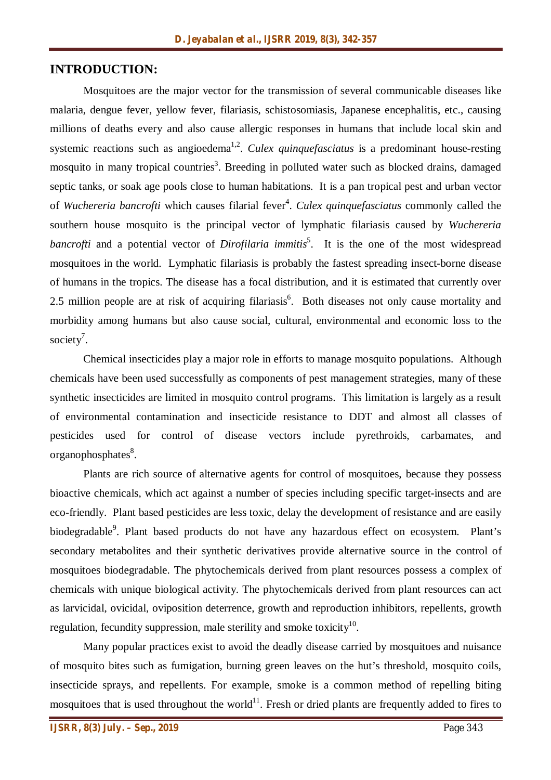#### **INTRODUCTION:**

Mosquitoes are the major vector for the transmission of several communicable diseases like malaria, dengue fever, yellow fever, filariasis, schistosomiasis, Japanese encephalitis, etc., causing millions of deaths every and also cause allergic responses in humans that include local skin and systemic reactions such as angioedema<sup>1,2</sup>. *Culex quinquefasciatus* is a predominant house-resting mosquito in many tropical countries<sup>3</sup>. Breeding in polluted water such as blocked drains, damaged septic tanks, or soak age pools close to human habitations. It is a pan tropical pest and urban vector of *Wuchereria bancrofti* which causes filarial fever<sup>4</sup>. *Culex quinquefasciatus* commonly called the southern house mosquito is the principal vector of lymphatic filariasis caused by *Wuchereria*  bancrofti and a potential vector of *Dirofilaria immitis*<sup>5</sup>. It is the one of the most widespread mosquitoes in the world. Lymphatic filariasis is probably the fastest spreading insect-borne disease of humans in the tropics. The disease has a focal distribution, and it is estimated that currently over 2.5 million people are at risk of acquiring filariasis<sup>6</sup>. Both diseases not only cause mortality and morbidity among humans but also cause social, cultural, environmental and economic loss to the society<sup>7</sup>.

Chemical insecticides play a major role in efforts to manage mosquito populations. Although chemicals have been used successfully as components of pest management strategies, many of these synthetic insecticides are limited in mosquito control programs. This limitation is largely as a result of environmental contamination and insecticide resistance to DDT and almost all classes of pesticides used for control of disease vectors include pyrethroids, carbamates, and organophosphates<sup>8</sup>.

Plants are rich source of alternative agents for control of mosquitoes, because they possess bioactive chemicals, which act against a number of species including specific target-insects and are eco-friendly. Plant based pesticides are less toxic, delay the development of resistance and are easily biodegradable<sup>9</sup>. Plant based products do not have any hazardous effect on ecosystem. Plant's secondary metabolites and their synthetic derivatives provide alternative source in the control of mosquitoes biodegradable. The phytochemicals derived from plant resources possess a complex of chemicals with unique biological activity. The phytochemicals derived from plant resources can act as larvicidal, ovicidal, oviposition deterrence, growth and reproduction inhibitors, repellents, growth regulation, fecundity suppression, male sterility and smoke toxicity $^{10}$ .

Many popular practices exist to avoid the deadly disease carried by mosquitoes and nuisance of mosquito bites such as fumigation, burning green leaves on the hut's threshold, mosquito coils, insecticide sprays, and repellents. For example, smoke is a common method of repelling biting mosquitoes that is used throughout the world<sup>11</sup>. Fresh or dried plants are frequently added to fires to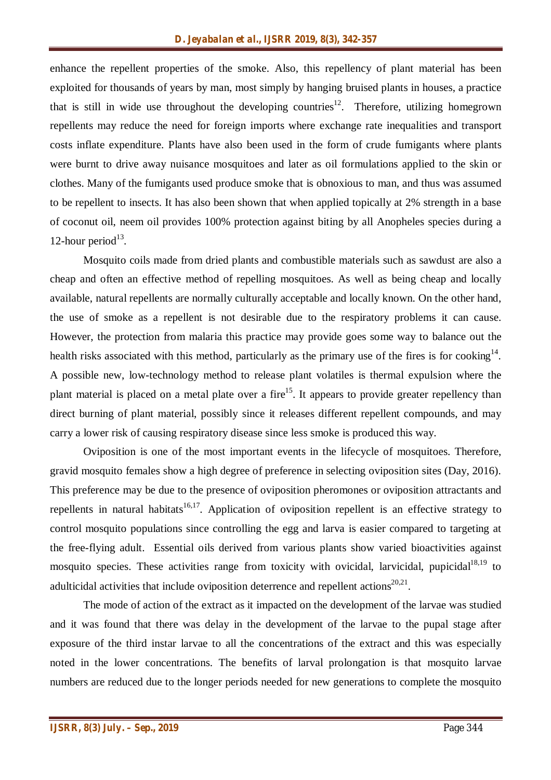enhance the repellent properties of the smoke. Also, this repellency of plant material has been exploited for thousands of years by man, most simply by hanging bruised plants in houses, a practice that is still in wide use throughout the developing countries<sup>12</sup>. Therefore, utilizing homegrown repellents may reduce the need for foreign imports where exchange rate inequalities and transport costs inflate expenditure. Plants have also been used in the form of crude fumigants where plants were burnt to drive away nuisance mosquitoes and later as oil formulations applied to the skin or clothes. Many of the fumigants used produce smoke that is obnoxious to man, and thus was assumed to be repellent to insects. It has also been shown that when applied topically at 2% strength in a base of coconut oil, neem oil provides 100% protection against biting by all Anopheles species during a 12-hour period $^{13}$ .

Mosquito coils made from dried plants and combustible materials such as sawdust are also a cheap and often an effective method of repelling mosquitoes. As well as being cheap and locally available, natural repellents are normally culturally acceptable and locally known. On the other hand, the use of smoke as a repellent is not desirable due to the respiratory problems it can cause. However, the protection from malaria this practice may provide goes some way to balance out the health risks associated with this method, particularly as the primary use of the fires is for cooking<sup>14</sup>. A possible new, low-technology method to release plant volatiles is thermal expulsion where the plant material is placed on a metal plate over a fire<sup>15</sup>. It appears to provide greater repellency than direct burning of plant material, possibly since it releases different repellent compounds, and may carry a lower risk of causing respiratory disease since less smoke is produced this way.

Oviposition is one of the most important events in the lifecycle of mosquitoes. Therefore, gravid mosquito females show a high degree of preference in selecting oviposition sites (Day, 2016). This preference may be due to the presence of oviposition pheromones or oviposition attractants and repellents in natural habitats<sup>16,17</sup>. Application of oviposition repellent is an effective strategy to control mosquito populations since controlling the egg and larva is easier compared to targeting at the free-flying adult. Essential oils derived from various plants show varied bioactivities against mosquito species. These activities range from toxicity with ovicidal, larvicidal, pupicidal<sup>18,19</sup> to adulticidal activities that include oviposition deterrence and repellent actions $20,21$ .

The mode of action of the extract as it impacted on the development of the larvae was studied and it was found that there was delay in the development of the larvae to the pupal stage after exposure of the third instar larvae to all the concentrations of the extract and this was especially noted in the lower concentrations. The benefits of larval prolongation is that mosquito larvae numbers are reduced due to the longer periods needed for new generations to complete the mosquito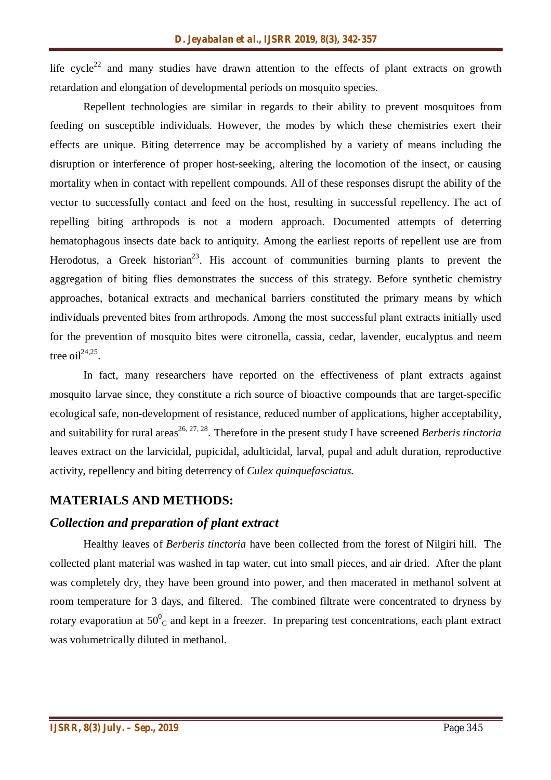life  $cycle^{22}$  and many studies have drawn attention to the effects of plant extracts on growth retardation and elongation of developmental periods on mosquito species.

Repellent technologies are similar in regards to their ability to prevent mosquitoes from feeding on susceptible individuals. However, the modes by which these chemistries exert their effects are unique. Biting deterrence may be accomplished by a variety of means including the disruption or interference of proper host-seeking, altering the locomotion of the insect, or causing mortality when in contact with repellent compounds. All of these responses disrupt the ability of the vector to successfully contact and feed on the host, resulting in successful repellency. The act of repelling biting arthropods is not a modern approach. Documented attempts of deterring hematophagous insects date back to antiquity. Among the earliest reports of repellent use are from Herodotus, a Greek historian<sup>23</sup>. His account of communities burning plants to prevent the aggregation of biting flies demonstrates the success of this strategy. Before synthetic chemistry approaches, botanical extracts and mechanical barriers constituted the primary means by which individuals prevented bites from arthropods. Among the most successful plant extracts initially used for the prevention of mosquito bites were citronella, cassia, cedar, lavender, eucalyptus and neem tree oil $^{24,25}$ .

In fact, many researchers have reported on the effectiveness of plant extracts against mosquito larvae since, they constitute a rich source of bioactive compounds that are target-specific ecological safe, non-development of resistance, reduced number of applications, higher acceptability, and suitability for rural areas<sup>26, 27, 28</sup>. Therefore in the present study I have screened *Berberis tinctoria* leaves extract on the larvicidal, pupicidal, adulticidal, larval, pupal and adult duration, reproductive activity, repellency and biting deterrency of *Culex quinquefasciatus.*

#### **MATERIALS AND METHODS:**

#### *Collection and preparation of plant extract*

Healthy leaves of *Berberis tinctoria* have been collected from the forest of Nilgiri hill. The collected plant material was washed in tap water, cut into small pieces, and air dried. After the plant was completely dry, they have been ground into power, and then macerated in methanol solvent at room temperature for 3 days, and filtered. The combined filtrate were concentrated to dryness by rotary evaporation at  $50^0$ <sub>C</sub> and kept in a freezer. In preparing test concentrations, each plant extract was volumetrically diluted in methanol.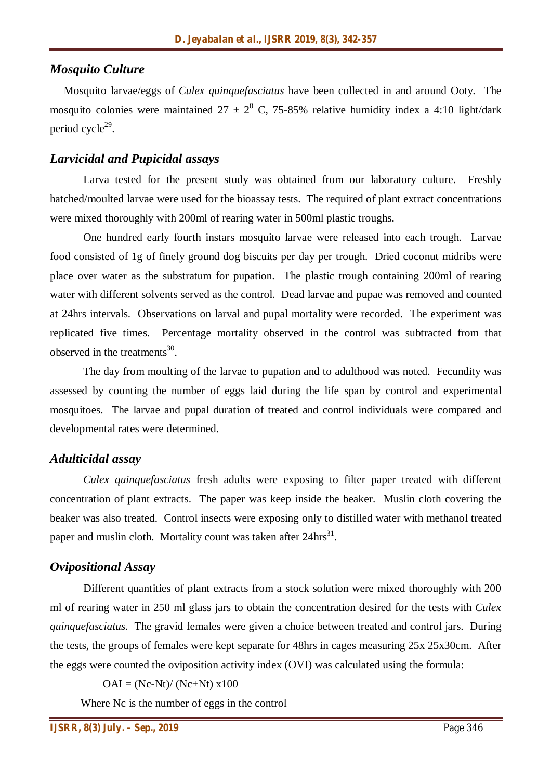#### *Mosquito Culture*

 Mosquito larvae/eggs of *Culex quinquefasciatus* have been collected in and around Ooty. The mosquito colonies were maintained  $27 \pm 2^0$  C, 75-85% relative humidity index a 4:10 light/dark period cycle<sup>29</sup>.

#### *Larvicidal and Pupicidal assays*

Larva tested for the present study was obtained from our laboratory culture. Freshly hatched/moulted larvae were used for the bioassay tests. The required of plant extract concentrations were mixed thoroughly with 200ml of rearing water in 500ml plastic troughs.

One hundred early fourth instars mosquito larvae were released into each trough. Larvae food consisted of 1g of finely ground dog biscuits per day per trough. Dried coconut midribs were place over water as the substratum for pupation. The plastic trough containing 200ml of rearing water with different solvents served as the control. Dead larvae and pupae was removed and counted at 24hrs intervals. Observations on larval and pupal mortality were recorded. The experiment was replicated five times. Percentage mortality observed in the control was subtracted from that observed in the treatments $^{30}$ .

The day from moulting of the larvae to pupation and to adulthood was noted. Fecundity was assessed by counting the number of eggs laid during the life span by control and experimental mosquitoes. The larvae and pupal duration of treated and control individuals were compared and developmental rates were determined.

#### *Adulticidal assay*

*Culex quinquefasciatus* fresh adults were exposing to filter paper treated with different concentration of plant extracts. The paper was keep inside the beaker. Muslin cloth covering the beaker was also treated. Control insects were exposing only to distilled water with methanol treated paper and muslin cloth. Mortality count was taken after 24hrs<sup>31</sup>.

#### *Ovipositional Assay*

Different quantities of plant extracts from a stock solution were mixed thoroughly with 200 ml of rearing water in 250 ml glass jars to obtain the concentration desired for the tests with *Culex quinquefasciatus*. The gravid females were given a choice between treated and control jars. During the tests, the groups of females were kept separate for 48hrs in cages measuring 25x 25x30cm. After the eggs were counted the oviposition activity index (OVI) was calculated using the formula:

 $OAI = (Nc-Nt)/(Nc+Nt) \times 100$ 

Where Nc is the number of eggs in the control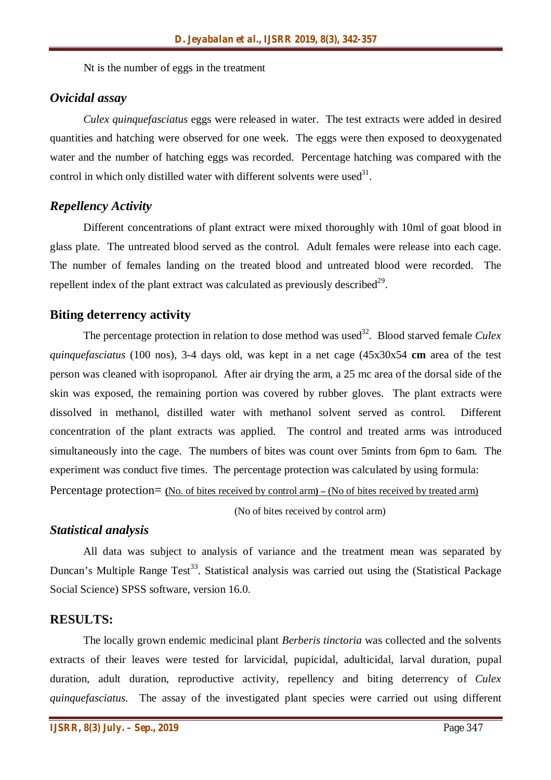Nt is the number of eggs in the treatment

#### *Ovicidal assay*

*Culex quinquefasciatus* eggs were released in water. The test extracts were added in desired quantities and hatching were observed for one week. The eggs were then exposed to deoxygenated water and the number of hatching eggs was recorded. Percentage hatching was compared with the control in which only distilled water with different solvents were used $3<sup>1</sup>$ .

#### *Repellency Activity*

Different concentrations of plant extract were mixed thoroughly with 10ml of goat blood in glass plate. The untreated blood served as the control. Adult females were release into each cage. The number of females landing on the treated blood and untreated blood were recorded. The repellent index of the plant extract was calculated as previously described $^{29}$ .

#### **Biting deterrency activity**

The percentage protection in relation to dose method was used<sup>32</sup>. Blood starved female *Culex quinquefasciatus* (100 nos), 3-4 days old, was kept in a net cage (45x30x54 **cm** area of the test person was cleaned with isopropanol. After air drying the arm, a 25 mc area of the dorsal side of the skin was exposed, the remaining portion was covered by rubber gloves. The plant extracts were dissolved in methanol, distilled water with methanol solvent served as control. Different concentration of the plant extracts was applied. The control and treated arms was introduced simultaneously into the cage. The numbers of bites was count over 5mints from 6pm to 6am. The experiment was conduct five times. The percentage protection was calculated by using formula: Percentage protection= **(**No. of bites received by control arm**) –** (No of bites received by treated arm)

(No of bites received by control arm)

#### *Statistical analysis*

All data was subject to analysis of variance and the treatment mean was separated by Duncan's Multiple Range Test<sup>33</sup>. Statistical analysis was carried out using the (Statistical Package Social Science) SPSS software, version 16.0.

#### **RESULTS:**

The locally grown endemic medicinal plant *Berberis tinctoria* was collected and the solvents extracts of their leaves were tested for larvicidal, pupicidal, adulticidal, larval duration, pupal duration, adult duration, reproductive activity, repellency and biting deterrency of *Culex quinquefasciatus*. The assay of the investigated plant species were carried out using different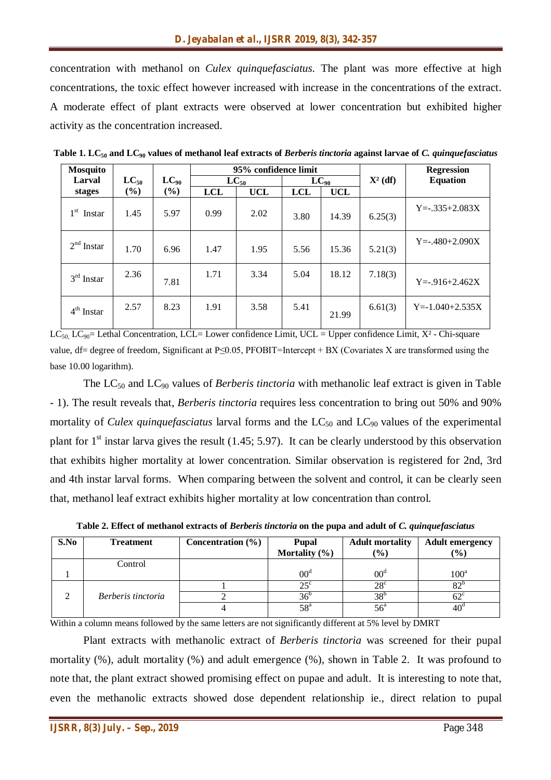concentration with methanol on *Culex quinquefasciatus*. The plant was more effective at high concentrations, the toxic effect however increased with increase in the concentrations of the extract. A moderate effect of plant extracts were observed at lower concentration but exhibited higher activity as the concentration increased.

| <b>Mosquito</b> |           |           |            | 95% confidence limit |            |            |            | <b>Regression</b>     |
|-----------------|-----------|-----------|------------|----------------------|------------|------------|------------|-----------------------|
| Larval          | $LC_{50}$ | $LC_{90}$ |            | $LC_{50}$            |            | $LC_{90}$  | $X^2$ (df) | <b>Equation</b>       |
| stages          | (%)       | (%)       | <b>LCL</b> | <b>UCL</b>           | <b>LCL</b> | <b>UCL</b> |            |                       |
| $1st$ Instar    | 1.45      | 5.97      | 0.99       | 2.02                 | 3.80       | 14.39      | 6.25(3)    | $Y = -335 + 2.083X$   |
| $2nd$ Instar    | 1.70      | 6.96      | 1.47       | 1.95                 | 5.56       | 15.36      | 5.21(3)    | $Y = -0.480 + 2.090X$ |
| $3rd$ Instar    | 2.36      | 7.81      | 1.71       | 3.34                 | 5.04       | 18.12      | 7.18(3)    | $Y = -916 + 2.462X$   |
| $4th$ Instar    | 2.57      | 8.23      | 1.91       | 3.58                 | 5.41       | 21.99      | 6.61(3)    | $Y = -1.040 + 2.535X$ |

**Table 1. LC<sup>50</sup> and LC<sup>90</sup> values of methanol leaf extracts of** *Berberis tinctoria* **against larvae of** *C. quinquefasciatus*

 $LC_{50}$ ,  $LC_{90}=$  Lethal Concentration, LCL= Lower confidence Limit, UCL = Upper confidence Limit, X<sup>2</sup> - Chi-square value, df= degree of freedom, Significant at P≤0.05, PFOBIT=Intercept + BX (Covariates X are transformed using the base 10.00 logarithm).

The LC<sub>50</sub> and LC<sub>90</sub> values of *Berberis tinctoria* with methanolic leaf extract is given in Table - 1). The result reveals that, *Berberis tinctoria* requires less concentration to bring out 50% and 90% mortality of *Culex quinquefasciatus* larval forms and the  $LC_{50}$  and  $LC_{90}$  values of the experimental plant for  $1<sup>st</sup>$  instar larva gives the result (1.45; 5.97). It can be clearly understood by this observation that exhibits higher mortality at lower concentration. Similar observation is registered for 2nd, 3rd and 4th instar larval forms. When comparing between the solvent and control, it can be clearly seen that, methanol leaf extract exhibits higher mortality at low concentration than control.

| S.No | <b>Treatment</b>   | Concentration $(\% )$ | <b>Pupal</b><br>Mortality $(\% )$ | <b>Adult mortality</b><br>$\frac{9}{6}$ | <b>Adult emergency</b><br>$\frac{1}{2}$ |
|------|--------------------|-----------------------|-----------------------------------|-----------------------------------------|-----------------------------------------|
|      | Control            |                       |                                   |                                         |                                         |
|      |                    |                       | 00 <sup>d</sup>                   | $00^{\circ}$                            | $100^{\rm a}$                           |
|      |                    |                       | $25^{\circ}$                      | $28^{\circ}$                            | ດາເ                                     |
| ◠    | Berberis tinctoria |                       | 36 <sup>o</sup>                   | 38 <sup>°</sup>                         | 62°                                     |
|      |                    |                       | $58^{\rm a}$                      | $56^{\circ}$                            | $40^{\circ}$                            |

**Table 2. Effect of methanol extracts of** *Berberis tinctoria* **on the pupa and adult of** *C. quinquefasciatus*

Within a column means followed by the same letters are not significantly different at 5% level by DMRT

Plant extracts with methanolic extract of *Berberis tinctoria* was screened for their pupal mortality (%), adult mortality (%) and adult emergence (%), shown in Table 2. It was profound to note that, the plant extract showed promising effect on pupae and adult. It is interesting to note that, even the methanolic extracts showed dose dependent relationship ie., direct relation to pupal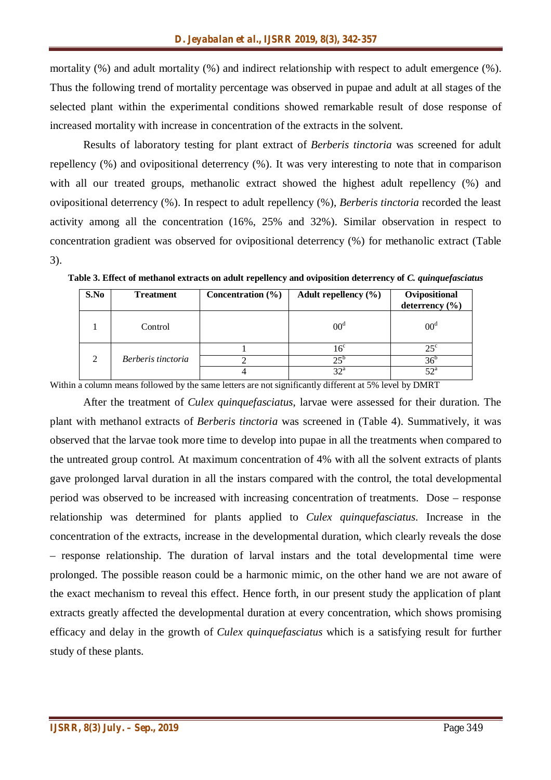mortality (%) and adult mortality (%) and indirect relationship with respect to adult emergence (%). Thus the following trend of mortality percentage was observed in pupae and adult at all stages of the selected plant within the experimental conditions showed remarkable result of dose response of increased mortality with increase in concentration of the extracts in the solvent.

Results of laboratory testing for plant extract of *Berberis tinctoria* was screened for adult repellency (%) and ovipositional deterrency (%). It was very interesting to note that in comparison with all our treated groups, methanolic extract showed the highest adult repellency (%) and ovipositional deterrency (%). In respect to adult repellency (%), *Berberis tinctoria* recorded the least activity among all the concentration (16%, 25% and 32%). Similar observation in respect to concentration gradient was observed for ovipositional deterrency (%) for methanolic extract (Table 3).

| S.No     | <b>Treatment</b>   | Concentration $(\% )$ | Adult repellency $(\% )$ | Ovipositional<br>deterrency $(\% )$ |
|----------|--------------------|-----------------------|--------------------------|-------------------------------------|
|          | Control            |                       | $00^{\circ}$             | $00^{\circ}$                        |
|          |                    |                       | $16^{\circ}$             | $25^{\circ}$                        |
| $\gamma$ | Berberis tinctoria |                       | $25^{\circ}$             | $36^{\circ}$                        |
|          |                    |                       | 22a                      | $52^{\circ}$                        |

**Table 3. Effect of methanol extracts on adult repellency and oviposition deterrency of** *C. quinquefasciatus*

Within a column means followed by the same letters are not significantly different at 5% level by DMRT

After the treatment of *Culex quinquefasciatus*, larvae were assessed for their duration. The plant with methanol extracts of *Berberis tinctoria* was screened in (Table 4). Summatively, it was observed that the larvae took more time to develop into pupae in all the treatments when compared to the untreated group control. At maximum concentration of 4% with all the solvent extracts of plants gave prolonged larval duration in all the instars compared with the control, the total developmental period was observed to be increased with increasing concentration of treatments. Dose – response relationship was determined for plants applied to *Culex quinquefasciatus*. Increase in the concentration of the extracts, increase in the developmental duration, which clearly reveals the dose – response relationship. The duration of larval instars and the total developmental time were prolonged. The possible reason could be a harmonic mimic, on the other hand we are not aware of the exact mechanism to reveal this effect. Hence forth, in our present study the application of plant extracts greatly affected the developmental duration at every concentration, which shows promising efficacy and delay in the growth of *Culex quinquefasciatus* which is a satisfying result for further study of these plants.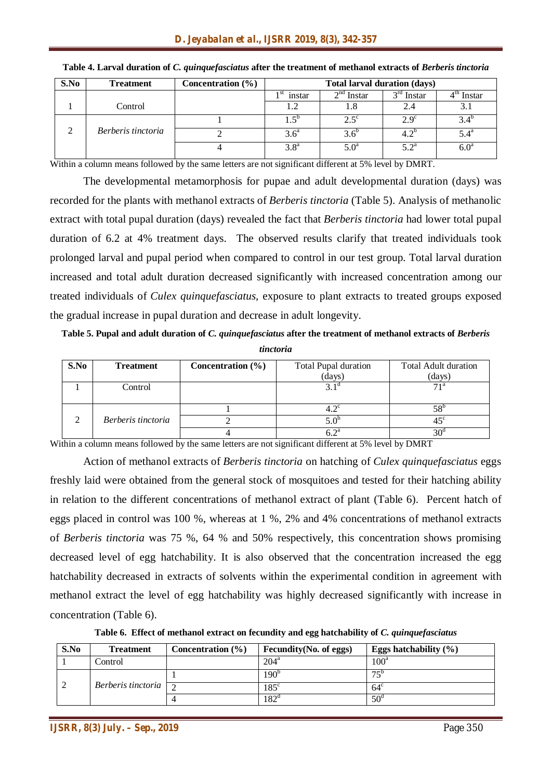| S.No | <b>Treatment</b>   | Concentration $(\% )$ | <b>Total larval duration (days)</b> |               |                    |                  |
|------|--------------------|-----------------------|-------------------------------------|---------------|--------------------|------------------|
|      |                    |                       | $1st$ instar                        | $2nd$ Instar  | $3rd$ Instar       | $4th$ Instar     |
|      | Control            |                       |                                     | 1.8           | 2.4                |                  |
|      |                    |                       | $1.5^{\circ}$                       | $2.5^{\circ}$ | $2.9^\circ$        | $3.4^{\circ}$    |
|      | Berberis tinctoria |                       | 3.6 <sup>a</sup>                    | $3.6^\circ$   | $4.2^{\circ}$      | $5.4^{\circ}$    |
|      |                    |                       | 3.8 <sup>a</sup>                    | $5.0^{\circ}$ | $5.2^{\mathrm{a}}$ | 6.0 <sup>a</sup> |

#### **Table 4. Larval duration of** *C. quinquefasciatus* **after the treatment of methanol extracts of** *Berberis tinctoria*

Within a column means followed by the same letters are not significant different at 5% level by DMRT.

The developmental metamorphosis for pupae and adult developmental duration (days) was recorded for the plants with methanol extracts of *Berberis tinctoria* (Table 5). Analysis of methanolic extract with total pupal duration (days) revealed the fact that *Berberis tinctoria* had lower total pupal duration of 6.2 at 4% treatment days. The observed results clarify that treated individuals took prolonged larval and pupal period when compared to control in our test group. Total larval duration increased and total adult duration decreased significantly with increased concentration among our treated individuals of *Culex quinquefasciatus*, exposure to plant extracts to treated groups exposed the gradual increase in pupal duration and decrease in adult longevity.

**Table 5. Pupal and adult duration of** *C. quinquefasciatus* **after the treatment of methanol extracts of** *Berberis* 

*tinctoria*

| S.No | <b>Treatment</b>   | Concentration $(\% )$<br><b>Total Pupal duration</b><br>(days) |               | <b>Total Adult duration</b><br>(days) |
|------|--------------------|----------------------------------------------------------------|---------------|---------------------------------------|
|      | Control            |                                                                |               | 71 <sup>a</sup>                       |
|      |                    |                                                                | $4.2^{\circ}$ | $58^{\circ}$                          |
|      | Berberis tinctoria |                                                                |               | $45^{\circ}$                          |
|      |                    |                                                                | ∠ ጎ¤          | $20^{\circ}$                          |

Within a column means followed by the same letters are not significant different at 5% level by DMRT

Action of methanol extracts of *Berberis tinctoria* on hatching of *Culex quinquefasciatus* eggs freshly laid were obtained from the general stock of mosquitoes and tested for their hatching ability in relation to the different concentrations of methanol extract of plant (Table 6). Percent hatch of eggs placed in control was 100 %, whereas at 1 %, 2% and 4% concentrations of methanol extracts of *Berberis tinctoria* was 75 %, 64 % and 50% respectively, this concentration shows promising decreased level of egg hatchability. It is also observed that the concentration increased the egg hatchability decreased in extracts of solvents within the experimental condition in agreement with methanol extract the level of egg hatchability was highly decreased significantly with increase in concentration (Table 6).

**Table 6. Effect of methanol extract on fecundity and egg hatchability of** *C. quinquefasciatus*

| S.No                                  | <b>Treatment</b> | Concentration $(\% )$ | Fecundity (No. of eggs) | Eggs hatchability $(\% )$ |
|---------------------------------------|------------------|-----------------------|-------------------------|---------------------------|
|                                       | Control          |                       | 204 <sup>a</sup>        | 100 <sup>a</sup>          |
|                                       |                  |                       | 190 <sup>t</sup>        | $75^{\rm b}$              |
| <i>Berberis tinctoria</i> $\boxed{2}$ |                  | $185^\circ$           | $64^\circ$              |                           |
|                                       |                  |                       | $182^\circ$             | $50^{\circ}$              |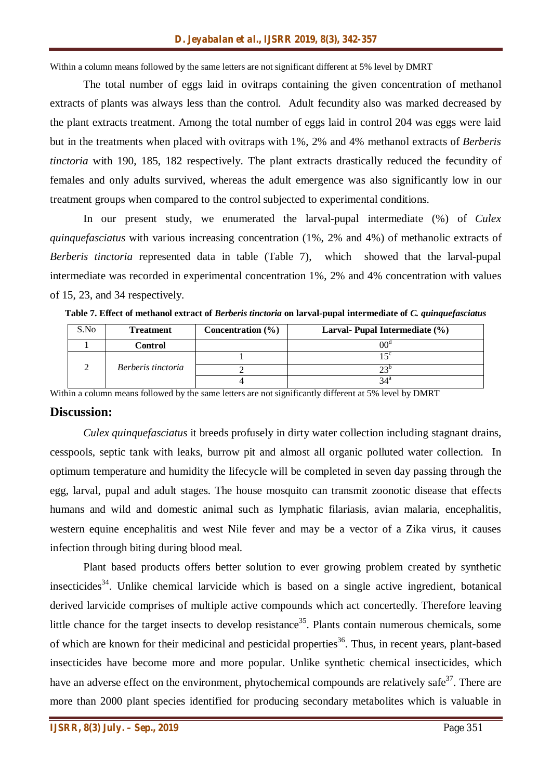Within a column means followed by the same letters are not significant different at 5% level by DMRT

The total number of eggs laid in ovitraps containing the given concentration of methanol extracts of plants was always less than the control. Adult fecundity also was marked decreased by the plant extracts treatment. Among the total number of eggs laid in control 204 was eggs were laid but in the treatments when placed with ovitraps with 1%, 2% and 4% methanol extracts of *Berberis tinctoria* with 190, 185, 182 respectively. The plant extracts drastically reduced the fecundity of females and only adults survived, whereas the adult emergence was also significantly low in our treatment groups when compared to the control subjected to experimental conditions.

In our present study, we enumerated the larval-pupal intermediate (%) of *Culex quinquefasciatus* with various increasing concentration (1%, 2% and 4%) of methanolic extracts of *Berberis tinctoria* represented data in table (Table 7), which showed that the larval-pupal intermediate was recorded in experimental concentration 1%, 2% and 4% concentration with values of 15, 23, and 34 respectively.

| Table 7. Effect of methanol extract of <i>Berberis tinctoria</i> on larval-pupal intermediate of <i>C. quinquefasciatus</i> |  |  |  |
|-----------------------------------------------------------------------------------------------------------------------------|--|--|--|
|                                                                                                                             |  |  |  |

| S.No | <b>Treatment</b>   | Concentration $(\% )$ | Larval- Pupal Intermediate (%) |
|------|--------------------|-----------------------|--------------------------------|
|      | Control            |                       | $00^{\rm o}$                   |
|      |                    |                       | $\epsilon$                     |
|      | Berberis tinctoria |                       |                                |
|      |                    |                       | 34 <sup>a</sup>                |

Within a column means followed by the same letters are not significantly different at 5% level by DMRT

#### **Discussion:**

*Culex quinquefasciatus* it breeds profusely in dirty water collection including stagnant drains, cesspools, septic tank with leaks, burrow pit and almost all organic polluted water collection. In optimum temperature and humidity the lifecycle will be completed in seven day passing through the egg, larval, pupal and adult stages. The house mosquito can transmit zoonotic disease that effects humans and wild and domestic animal such as lymphatic filariasis, avian malaria, encephalitis, western equine encephalitis and west Nile fever and may be a vector of a Zika virus, it causes infection through biting during blood meal.

Plant based products offers better solution to ever growing problem created by synthetic insecticides<sup>34</sup>. Unlike chemical larvicide which is based on a single active ingredient, botanical derived larvicide comprises of multiple active compounds which act concertedly. Therefore leaving little chance for the target insects to develop resistance<sup>35</sup>. Plants contain numerous chemicals, some of which are known for their medicinal and pesticidal properties<sup>36</sup>. Thus, in recent years, plant-based insecticides have become more and more popular. Unlike synthetic chemical insecticides, which have an adverse effect on the environment, phytochemical compounds are relatively safe<sup>37</sup>. There are more than 2000 plant species identified for producing secondary metabolites which is valuable in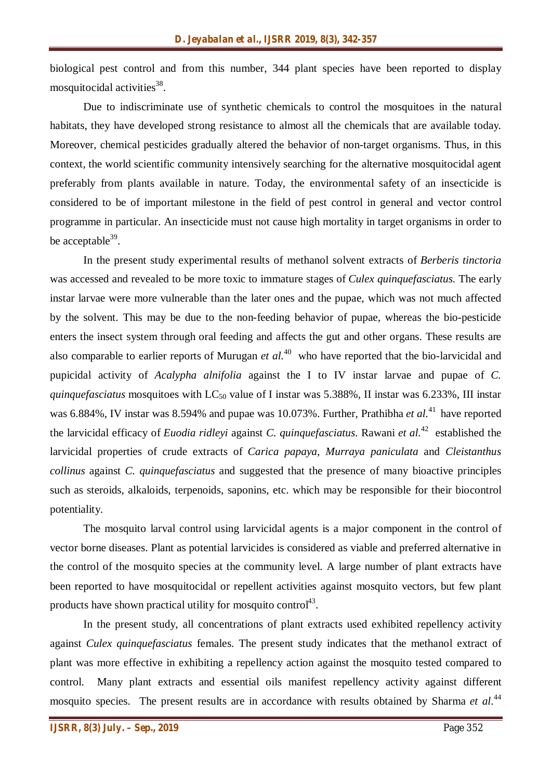biological pest control and from this number, 344 plant species have been reported to display mosquitocidal activities<sup>38</sup>.

Due to indiscriminate use of synthetic chemicals to control the mosquitoes in the natural habitats, they have developed strong resistance to almost all the chemicals that are available today. Moreover, chemical pesticides gradually altered the behavior of non-target organisms. Thus, in this context, the world scientific community intensively searching for the alternative mosquitocidal agent preferably from plants available in nature. Today, the environmental safety of an insecticide is considered to be of important milestone in the field of pest control in general and vector control programme in particular. An insecticide must not cause high mortality in target organisms in order to be acceptable<sup>39</sup>.

In the present study experimental results of methanol solvent extracts of *Berberis tinctoria* was accessed and revealed to be more toxic to immature stages of *Culex quinquefasciatus*. The early instar larvae were more vulnerable than the later ones and the pupae, which was not much affected by the solvent. This may be due to the non-feeding behavior of pupae, whereas the bio-pesticide enters the insect system through oral feeding and affects the gut and other organs. These results are also comparable to earlier reports of Murugan *et al.*<sup>40</sup> who have reported that the bio-larvicidal and pupicidal activity of *Acalypha alnifolia* against the I to IV instar larvae and pupae of *C. quinquefasciatus* mosquitoes with LC<sub>50</sub> value of I instar was 5.388%, II instar was 6.233%, III instar was 6.884%, IV instar was 8.594% and pupae was 10.073%. Further, Prathibha *et al.*<sup>41</sup> have reported the larvicidal efficacy of *Euodia ridleyi* against *C. quinquefasciatus*. Rawani *et al.*<sup>42</sup> established the larvicidal properties of crude extracts of *Carica papaya*, *Murraya paniculata* and *Cleistanthus collinus* against *C. quinquefasciatus* and suggested that the presence of many bioactive principles such as steroids, alkaloids, terpenoids, saponins, etc. which may be responsible for their biocontrol potentiality.

The mosquito larval control using larvicidal agents is a major component in the control of vector borne diseases. Plant as potential larvicides is considered as viable and preferred alternative in the control of the mosquito species at the community level. A large number of plant extracts have been reported to have mosquitocidal or repellent activities against mosquito vectors, but few plant products have shown practical utility for mosquito control<sup>43</sup>.

In the present study, all concentrations of plant extracts used exhibited repellency activity against *Culex quinquefasciatus* females. The present study indicates that the methanol extract of plant was more effective in exhibiting a repellency action against the mosquito tested compared to control. Many plant extracts and essential oils manifest repellency activity against different mosquito species. The present results are in accordance with results obtained by Sharma *et al.*<sup>44</sup>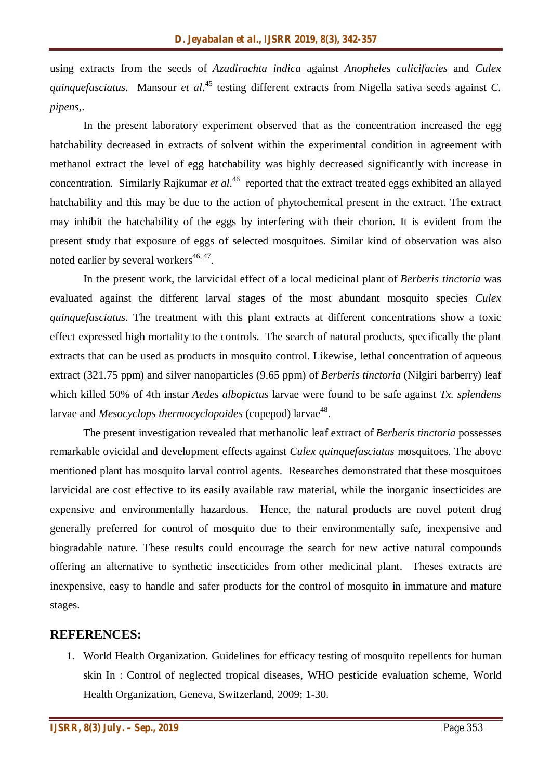using extracts from the seeds of *Azadirachta indica* against *Anopheles culicifacies* and *Culex quinquefasciatus*. Mansour *et al*. <sup>45</sup> testing different extracts from Nigella sativa seeds against *C. pipens*,.

In the present laboratory experiment observed that as the concentration increased the egg hatchability decreased in extracts of solvent within the experimental condition in agreement with methanol extract the level of egg hatchability was highly decreased significantly with increase in concentration. Similarly Rajkumar *et al*.<sup>46</sup> reported that the extract treated eggs exhibited an allayed hatchability and this may be due to the action of phytochemical present in the extract. The extract may inhibit the hatchability of the eggs by interfering with their chorion. It is evident from the present study that exposure of eggs of selected mosquitoes. Similar kind of observation was also noted earlier by several workers $46, 47$ .

In the present work, the larvicidal effect of a local medicinal plant of *Berberis tinctoria* was evaluated against the different larval stages of the most abundant mosquito species *Culex quinquefasciatus*. The treatment with this plant extracts at different concentrations show a toxic effect expressed high mortality to the controls. The search of natural products, specifically the plant extracts that can be used as products in mosquito control. Likewise, lethal concentration of aqueous extract (321.75 ppm) and silver nanoparticles (9.65 ppm) of *Berberis tinctoria* (Nilgiri barberry) leaf which killed 50% of 4th instar *Aedes albopictus* larvae were found to be safe against *Tx. splendens* larvae and *Mesocyclops thermocyclopoides* (copepod) larvae<sup>48</sup>.

The present investigation revealed that methanolic leaf extract of *Berberis tinctoria* possesses remarkable ovicidal and development effects against *Culex quinquefasciatus* mosquitoes. The above mentioned plant has mosquito larval control agents. Researches demonstrated that these mosquitoes larvicidal are cost effective to its easily available raw material, while the inorganic insecticides are expensive and environmentally hazardous. Hence, the natural products are novel potent drug generally preferred for control of mosquito due to their environmentally safe, inexpensive and biogradable nature. These results could encourage the search for new active natural compounds offering an alternative to synthetic insecticides from other medicinal plant. Theses extracts are inexpensive, easy to handle and safer products for the control of mosquito in immature and mature stages.

#### **REFERENCES:**

1. World Health Organization. Guidelines for efficacy testing of mosquito repellents for human skin In : Control of neglected tropical diseases, WHO pesticide evaluation scheme, World Health Organization, Geneva, Switzerland, 2009; 1-30.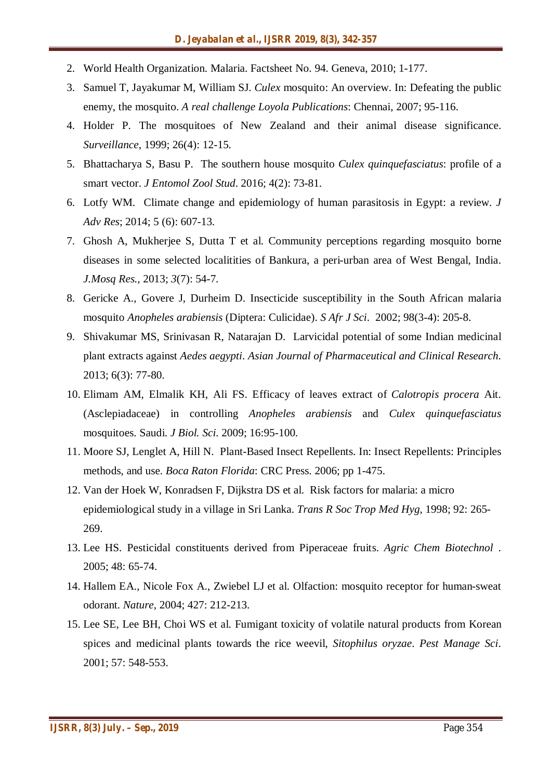- 2. World Health Organization. Malaria. Factsheet No. 94. Geneva, 2010; 1-177.
- 3. Samuel T, Jayakumar M, William SJ. *Culex* mosquito: An overview. In: Defeating the public enemy, the mosquito. *A real challenge Loyola Publications*: Chennai, 2007; 95-116.
- 4. Holder P. The mosquitoes of New Zealand and their animal disease significance. *Surveillance*, 1999; 26(4): 12-15.
- 5. Bhattacharya S, Basu P. The southern house mosquito *Culex quinquefasciatus*: profile of a smart vector. *J Entomol Zool Stud*. 2016; 4(2): 73-81.
- 6. Lotfy WM. Climate change and epidemiology of human parasitosis in Egypt: a review. *J Adv Res*; 2014; 5 (6): 607-13.
- 7. Ghosh A, Mukherjee S, Dutta T et al. Community perceptions regarding mosquito borne diseases in some selected localitities of Bankura, a peri-urban area of West Bengal, India. *J.Mosq Res.,* 2013; *3*(7): 54-7.
- 8. Gericke A., Govere J, Durheim D. Insecticide susceptibility in the South African malaria mosquito *Anopheles arabiensis* (Diptera: Culicidae). *S Afr J Sci*. 2002; 98(3-4): 205-8.
- 9. Shivakumar MS, Srinivasan R, Natarajan D. Larvicidal potential of some Indian medicinal plant extracts against *Aedes aegypti*. *Asian Journal of Pharmaceutical and Clinical Research*. 2013; 6(3): 77-80.
- 10. Elimam AM, Elmalik KH, Ali FS. Efficacy of leaves extract of *Calotropis procera* Ait. (Asclepiadaceae) in controlling *Anopheles arabiensis* and *Culex quinquefasciatus* mosquitoes. Saudi. *J Biol. Sci*. 2009; 16:95-100.
- 11. Moore SJ, Lenglet A, Hill N. Plant-Based Insect Repellents. In: Insect Repellents: Principles methods, and use. *Boca Raton Florida*: CRC Press. 2006; pp 1-475.
- 12. Van der Hoek W, Konradsen F, Dijkstra DS et al. Risk factors for malaria: a micro epidemiological study in a village in Sri Lanka. *Trans R Soc Trop Med Hyg*, 1998; 92: 265- 269.
- 13. Lee HS. Pesticidal constituents derived from Piperaceae fruits. *Agric Chem Biotechnol* . 2005; 48: 65-74.
- 14. Hallem EA., Nicole Fox A., Zwiebel LJ et al. Olfaction: mosquito receptor for human-sweat odorant. *Nature,* 2004; 427: 212-213.
- 15. Lee SE, Lee BH, Choi WS et al. Fumigant toxicity of volatile natural products from Korean spices and medicinal plants towards the rice weevil, *Sitophilus oryzae*. *Pest Manage Sci*. 2001; 57: 548-553.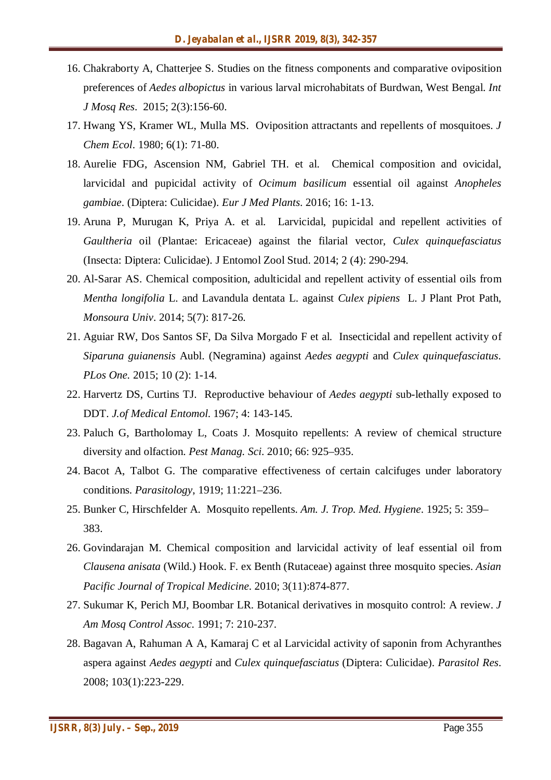- 16. Chakraborty A, Chatterjee S. Studies on the fitness components and comparative oviposition preferences of *Aedes albopictus* in various larval microhabitats of Burdwan, West Bengal. *Int J Mosq Res*. 2015; 2(3):156-60.
- 17. Hwang YS, Kramer WL, Mulla MS. Oviposition attractants and repellents of mosquitoes. *J Chem Ecol*. 1980; 6(1): 71-80.
- 18. Aurelie FDG, Ascension NM, Gabriel TH. et al. Chemical composition and ovicidal, larvicidal and pupicidal activity of *Ocimum basilicum* essential oil against *Anopheles gambiae*. (Diptera: Culicidae). *Eur J Med Plants*. 2016; 16: 1-13.
- 19. Aruna P, Murugan K, Priya A. et al. Larvicidal, pupicidal and repellent activities of *Gaultheria* oil (Plantae: Ericaceae) against the filarial vector, *Culex quinquefasciatus* (Insecta: Diptera: Culicidae). J Entomol Zool Stud. 2014; 2 (4): 290-294.
- 20. Al-Sarar AS. Chemical composition, adulticidal and repellent activity of essential oils from *Mentha longifolia* L. and Lavandula dentata L. against *Culex pipiens* L. J Plant Prot Path, *Monsoura Univ*. 2014; 5(7): 817-26.
- 21. Aguiar RW, Dos Santos SF, Da Silva Morgado F et al. Insecticidal and repellent activity of *Siparuna guianensis* Aubl. (Negramina) against *Aedes aegypti* and *Culex quinquefasciatus*. *PLos One.* 2015; 10 (2): 1-14.
- 22. Harvertz DS, Curtins TJ. Reproductive behaviour of *Aedes aegypti* sub-lethally exposed to DDT. *J.of Medical Entomol*. 1967; 4: 143-145.
- 23. Paluch G, Bartholomay L, Coats J. Mosquito repellents: A review of chemical structure diversity and olfaction. *Pest Manag. Sci*. 2010; 66: 925–935.
- 24. Bacot A, Talbot G. The comparative effectiveness of certain calcifuges under laboratory conditions. *Parasitology*, 1919; 11:221–236.
- 25. Bunker C, Hirschfelder A. Mosquito repellents. *Am. J. Trop. Med. Hygiene*. 1925; 5: 359– 383.
- 26. Govindarajan M. Chemical composition and larvicidal activity of leaf essential oil from *Clausena anisata* (Wild.) Hook. F. ex Benth (Rutaceae) against three mosquito species. *Asian Pacific Journal of Tropical Medicine*. 2010; 3(11):874-877.
- 27. Sukumar K, Perich MJ, Boombar LR. Botanical derivatives in mosquito control: A review. *J Am Mosq Control Assoc*. 1991; 7: 210-237.
- 28. Bagavan A, Rahuman A A, Kamaraj C et al Larvicidal activity of saponin from Achyranthes aspera against *Aedes aegypti* and *Culex quinquefasciatus* (Diptera: Culicidae). *Parasitol Res*. 2008; 103(1):223-229.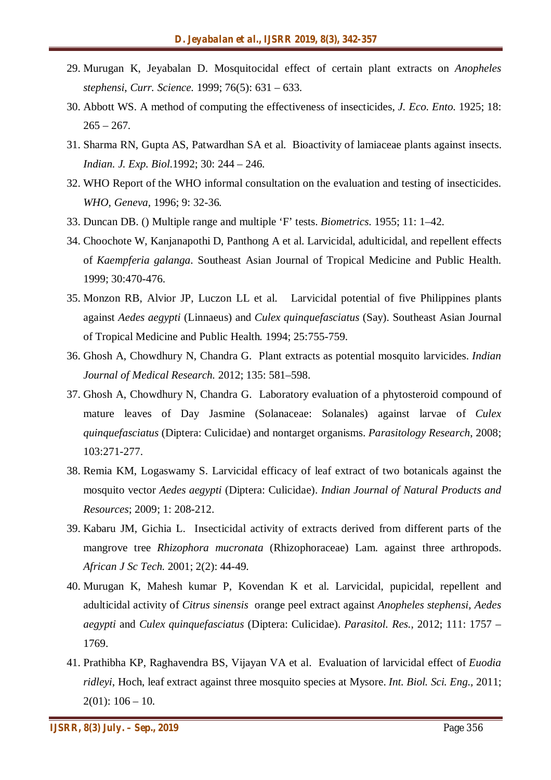- 29. Murugan K, Jeyabalan D. Mosquitocidal effect of certain plant extracts on *Anopheles stephensi*, *Curr. Science.* 1999; 76(5): 631 – 633.
- 30. Abbott WS. A method of computing the effectiveness of insecticides, *J. Eco. Ento*. 1925; 18:  $265 - 267.$
- 31. Sharma RN, Gupta AS, Patwardhan SA et al. Bioactivity of lamiaceae plants against insects. *Indian. J. Exp. Biol*.1992; 30: 244 – 246.
- 32. WHO Report of the WHO informal consultation on the evaluation and testing of insecticides. *WHO, Geneva,* 1996; 9: 32-36*.*
- 33. Duncan DB. () Multiple range and multiple 'F' tests. *Biometrics*. 1955; 11: 1–42.
- 34. Choochote W, Kanjanapothi D, Panthong A et al. Larvicidal, adulticidal, and repellent effects of *Kaempferia galanga*. Southeast Asian Journal of Tropical Medicine and Public Health. 1999; 30:470-476.
- 35. Monzon RB, Alvior JP, Luczon LL et al. Larvicidal potential of five Philippines plants against *Aedes aegypti* (Linnaeus) and *Culex quinquefasciatus* (Say). Southeast Asian Journal of Tropical Medicine and Public Health*.* 1994; 25:755-759.
- 36. Ghosh A, Chowdhury N, Chandra G. Plant extracts as potential mosquito larvicides. *Indian Journal of Medical Research.* 2012; 135: 581–598.
- 37. Ghosh A, Chowdhury N, Chandra G. Laboratory evaluation of a phytosteroid compound of mature leaves of Day Jasmine (Solanaceae: Solanales) against larvae of *Culex quinquefasciatus* (Diptera: Culicidae) and nontarget organisms. *Parasitology Research*, 2008; 103:271-277.
- 38. Remia KM, Logaswamy S. Larvicidal efficacy of leaf extract of two botanicals against the mosquito vector *Aedes aegypti* (Diptera: Culicidae). *Indian Journal of Natural Products and Resources*; 2009; 1: 208-212.
- 39. Kabaru JM, Gichia L. Insecticidal activity of extracts derived from different parts of the mangrove tree *Rhizophora mucronata* (Rhizophoraceae) Lam. against three arthropods. *African J Sc Tech*. 2001; 2(2): 44-49.
- 40. Murugan K, Mahesh kumar P, Kovendan K et al. Larvicidal, pupicidal, repellent and adulticidal activity of *Citrus sinensis* orange peel extract against *Anopheles stephensi, Aedes aegypti* and *Culex quinquefasciatus* (Diptera: Culicidae). *Parasitol. Res.,* 2012; 111: 1757 – 1769.
- 41. Prathibha KP, Raghavendra BS, Vijayan VA et al. Evaluation of larvicidal effect of *Euodia ridleyi*, Hoch, leaf extract against three mosquito species at Mysore. *Int. Biol. Sci. Eng.,* 2011;  $2(01): 106 - 10.$